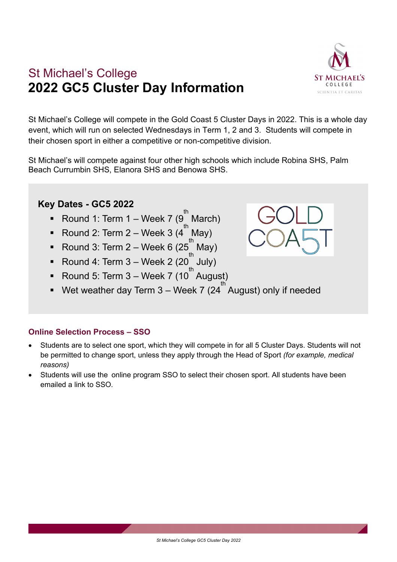

## St Michael's College **2022 GC5 Cluster Day Information**

St Michael's College will compete in the Gold Coast 5 Cluster Days in 2022. This is a whole day event, which will run on selected Wednesdays in Term 1, 2 and 3. Students will compete in their chosen sport in either a competitive or non-competitive division.

St Michael's will compete against four other high schools which include Robina SHS, Palm Beach Currumbin SHS, Elanora SHS and Benowa SHS.

## **Key Dates - GC5 2022**

- Round 1: Term 1 Week 7 ( $9^{th}$ ) March)
- Round 2: Term 2 Week 3  $(4^{th}$ May)
- Round 3: Term 2 Week 6 (25<sup>th</sup>) May)
- Round 4: Term 3 Week 2 (20 $^{\text{th}}$ July)
- Round 5: Term  $3$  Week 7 (10<sup>th</sup> August)
- Wet weather day Term  $3$  Week 7 (24<sup>th</sup> August) only if needed

## **Online Selection Process – SSO**

- Students are to select one sport, which they will compete in for all 5 Cluster Days. Students will not be permitted to change sport, unless they apply through the Head of Sport *(for example, medical reasons)*
- Students will use the online program SSO to select their chosen sport. All students have been emailed a link to SSO.